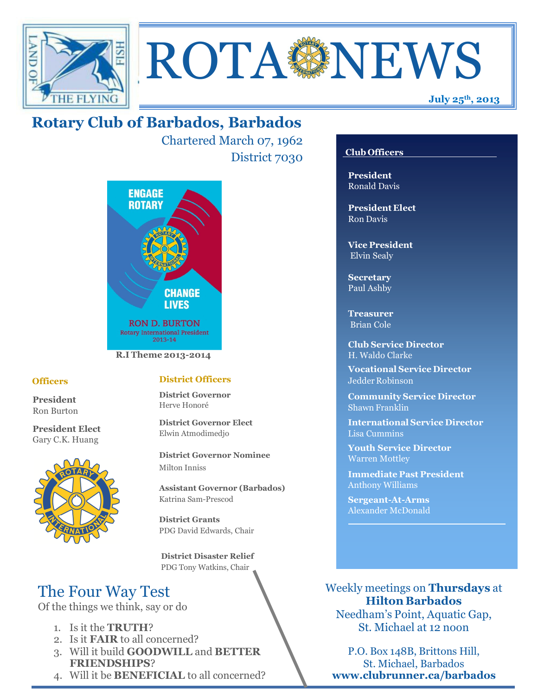



Chartered March 07, 1962 District 7030



### **Officers**

**President** Ron Burton

**President Elect** Gary C.K. Huang



### **District Officers**

**District Governor** Herve Honoré

**District Governor Elect** Elwin Atmodimedjo

**District Governor Nominee**  Milton Inniss

**Assistant Governor (Barbados)** Katrina Sam-Prescod

**District Grants**  PDG David Edwards, Chair

 **District Disaster Relief** PDG Tony Watkins, Chair

# The Four Way Test

Of the things we think, say or do

- 1. Is it the **TRUTH**?
- 2. Is it **FAIR** to all concerned?
- 3. Will it build **GOODWILL** and **BETTER FRIENDSHIPS**?
- 4. Will it be **BENEFICIAL** to all concerned?

### **Club Officers**

**July 25th, 2013**

**President** Ronald Davis

**President Elect** Ron Davis

**Vice President** Elvin Sealy

**Secretary** Paul Ashby

**Treasurer** Brian Cole

**Club Service Director** H. Waldo Clarke

**Vocational Service Director** Jedder Robinson

**Community Service Director** Shawn Franklin

**International Service Director** Lisa Cummins

**Youth Service Director** Warren Mottley

**Immediate Past President** Anthony Williams

**Sergeant-At-Arms** Alexander McDonald

Weekly meetings on **Thursdays** at **Hilton Barbados** Needham's Point, Aquatic Gap, St. Michael at 12 noon

P.O. Box 148B, Brittons Hill, St. Michael, Barbados **www.clubrunner.ca/barbados**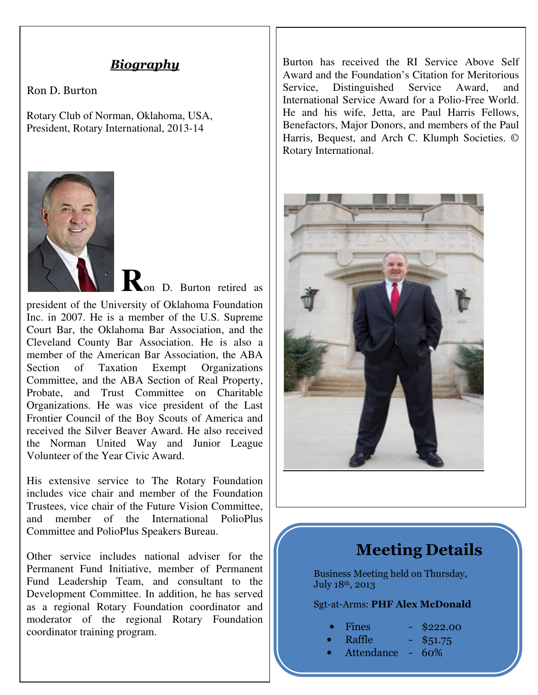## *Biography*

Ron D. Burton

Rotary Club of Norman, Oklahoma, USA, President, Rotary International, 2013-14



**R**on D. Burton retired as

president of the University of Oklahoma Foundation Inc. in 2007. He is a member of the U.S. Supreme Court Bar, the Oklahoma Bar Association, and the Cleveland County Bar Association. He is also a member of the American Bar Association, the ABA Section of Taxation Exempt Organizations Committee, and the ABA Section of Real Property, Probate, and Trust Committee on Charitable Organizations. He was vice president of the Last Frontier Council of the Boy Scouts of America and received the Silver Beaver Award. He also received the Norman United Way and Junior League Volunteer of the Year Civic Award.

His extensive service to The Rotary Foundation includes vice chair and member of the Foundation Trustees, vice chair of the Future Vision Committee, and member of the International PolioPlus Committee and PolioPlus Speakers Bureau.

Other service includes national adviser for the Permanent Fund Initiative, member of Permanent Fund Leadership Team, and consultant to the Development Committee. In addition, he has served as a regional Rotary Foundation coordinator and moderator of the regional Rotary Foundation coordinator training program.

Burton has received the RI Service Above Self Award and the Foundation's Citation for Meritorious Service, Distinguished Service Award, and International Service Award for a Polio-Free World. He and his wife, Jetta, are Paul Harris Fellows, Benefactors, Major Donors, and members of the Paul Harris, Bequest, and Arch C. Klumph Societies. © Rotary International.



# **Meeting Details**

Business Meeting held on Thursday, July 18th, 2013

Sgt-at-Arms: **PHF Alex McDonald**

| <b>Fines</b> |
|--------------|
|--------------|

|  | Fines | \$222.00 |  |
|--|-------|----------|--|
|--|-------|----------|--|

- Raffle \$51.75
- Attendance 60%
-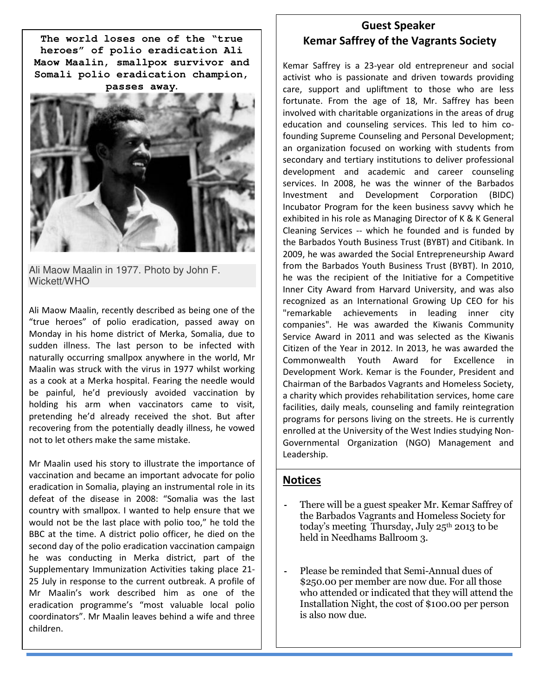Somali polio eradication champion, **The world loses one of the "true heroes" of polio eradication Ali Maow Maalin, smallpox survivor and passes away.** 



Ali Maow Maalin in 1977. Photo by John F. Wickett/WHO

Ali Maow Maalin, recently described as being one of the "true heroes" of polio eradication, passed away on Monday in his home district of Merka, Somalia, due to sudden illness. The last person to be infected with naturally occurring smallpox anywhere in the world, Mr Maalin was struck with the virus in 1977 whilst working as a cook at a Merka hospital. Fearing the needle would be painful, he'd previously avoided vaccination by holding his arm when vaccinators came to visit, pretending he'd already received the shot. But after recovering from the potentially deadly illness, he vowed not to let others make the same mistake.

Mr Maalin used his story to illustrate the importance of vaccination and became an important advocate for polio eradication in Somalia, playing an instrumental role in its defeat of the disease in 2008: "Somalia was the last country with smallpox. I wanted to help ensure that we would not be the last place with polio too," he told the BBC at the time. A district polio officer, he died on the second day of the polio eradication vaccination campaign he was conducting in Merka district, part of the Supplementary Immunization Activities taking place 21- 25 July in response to the current outbreak. A profile of Mr Maalin's work described him as one of the eradication programme's "most valuable local polio coordinators". Mr Maalin leaves behind a wife and three children.

### **Guest Speaker Kemar Saffrey of the Vagrants Society**

Kemar Saffrey is a 23-year old entrepreneur and social activist who is passionate and driven towards providing care, support and upliftment to those who are less fortunate. From the age of 18, Mr. Saffrey has been involved with charitable organizations in the areas of drug education and counseling services. This led to him cofounding Supreme Counseling and Personal Development; an organization focused on working with students from secondary and tertiary institutions to deliver professional development and academic and career counseling services. In 2008, he was the winner of the Barbados Investment and Development Corporation (BIDC) Incubator Program for the keen business savvy which he exhibited in his role as Managing Director of K & K General Cleaning Services -- which he founded and is funded by the Barbados Youth Business Trust (BYBT) and Citibank. In 2009, he was awarded the Social Entrepreneurship Award from the Barbados Youth Business Trust (BYBT). In 2010, he was the recipient of the Initiative for a Competitive Inner City Award from Harvard University, and was also recognized as an International Growing Up CEO for his "remarkable achievements in leading inner city companies". He was awarded the Kiwanis Community Service Award in 2011 and was selected as the Kiwanis Citizen of the Year in 2012. In 2013, he was awarded the Commonwealth Youth Award for Excellence in Development Work. Kemar is the Founder, President and Chairman of the Barbados Vagrants and Homeless Society, a charity which provides rehabilitation services, home care facilities, daily meals, counseling and family reintegration programs for persons living on the streets. He is currently enrolled at the University of the West Indies studying Non-Governmental Organization (NGO) Management and Leadership.

### **Notices**

- **-** There will be a guest speaker Mr. Kemar Saffrey of the Barbados Vagrants and Homeless Society for today's meeting Thursday, July  $25<sup>th</sup>$  2013 to be held in Needhams Ballroom 3.
- **-** Please be reminded that Semi-Annual dues of \$250.00 per member are now due. For all those who attended or indicated that they will attend the Installation Night, the cost of \$100.00 per person is also now due.